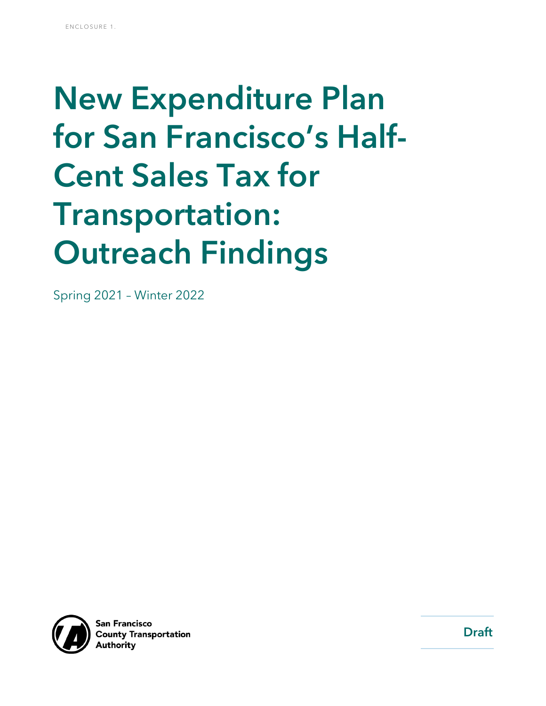# New Expenditure Plan for San Francisco's Half-Cent Sales Tax for Transportation: Outreach Findings

Spring 2021 – Winter 2022



**San Francisco County Transportation \uthoritv** 

Draft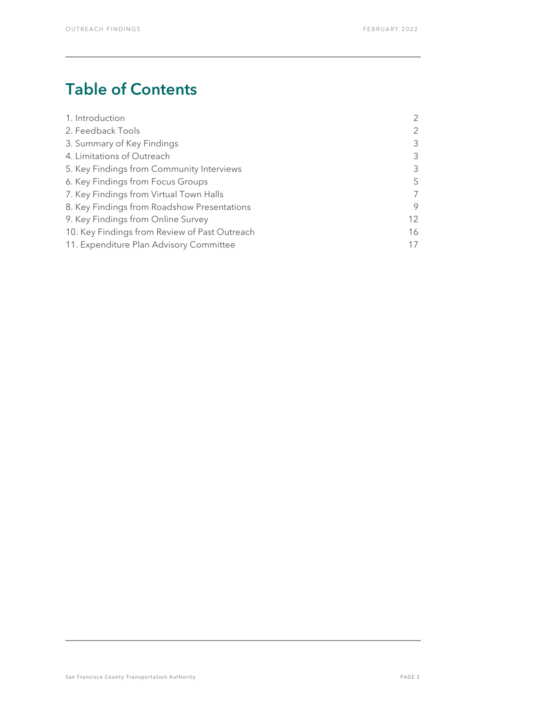# Table of Contents

| 1. Introduction                               | $\overline{2}$ |
|-----------------------------------------------|----------------|
| 2. Feedback Tools                             | $\overline{2}$ |
| 3. Summary of Key Findings                    | 3              |
| 4. Limitations of Outreach                    | 3              |
| 5. Key Findings from Community Interviews     | 3              |
| 6. Key Findings from Focus Groups             | 5              |
| 7. Key Findings from Virtual Town Halls       | 7              |
| 8. Key Findings from Roadshow Presentations   | 9              |
| 9. Key Findings from Online Survey            | 12             |
| 10. Key Findings from Review of Past Outreach | 16             |
| 11. Expenditure Plan Advisory Committee       | 17             |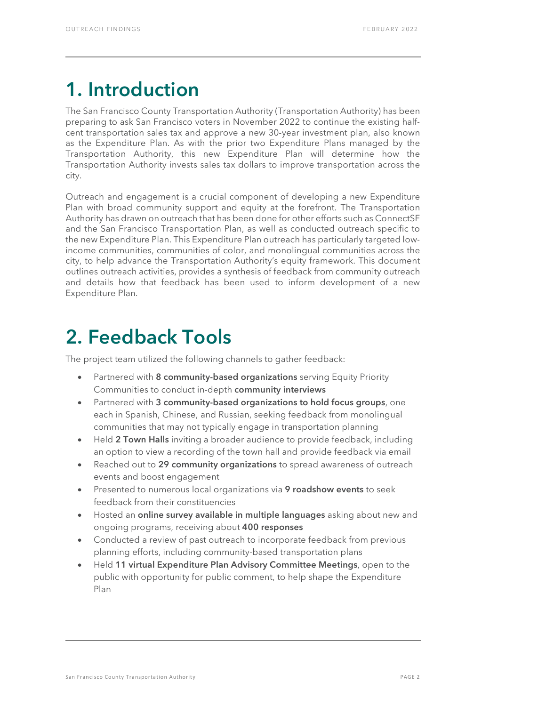# <span id="page-2-0"></span>1. Introduction

The San Francisco County Transportation Authority (Transportation Authority) has been preparing to ask San Francisco voters in November 2022 to continue the existing halfcent transportation sales tax and approve a new 30-year investment plan, also known as the Expenditure Plan. As with the prior two Expenditure Plans managed by the Transportation Authority, this new Expenditure Plan will determine how the Transportation Authority invests sales tax dollars to improve transportation across the city.

Outreach and engagement is a crucial component of developing a new Expenditure Plan with broad community support and equity at the forefront. The Transportation Authority has drawn on outreach that has been done for other efforts such as ConnectSF and the San Francisco Transportation Plan, as well as conducted outreach specific to the new Expenditure Plan. This Expenditure Plan outreach has particularly targeted lowincome communities, communities of color, and monolingual communities across the city, to help advance the Transportation Authority's equity framework. This document outlines outreach activities, provides a synthesis of feedback from community outreach and details how that feedback has been used to inform development of a new Expenditure Plan.

# <span id="page-2-1"></span>2. Feedback Tools

The project team utilized the following channels to gather feedback:

- Partnered with 8 community-based organizations serving Equity Priority Communities to conduct in-depth community interviews
- Partnered with 3 community-based organizations to hold focus groups, one each in Spanish, Chinese, and Russian, seeking feedback from monolingual communities that may not typically engage in transportation planning
- Held 2 Town Halls inviting a broader audience to provide feedback, including an option to view a recording of the town hall and provide feedback via email
- Reached out to 29 community organizations to spread awareness of outreach events and boost engagement
- Presented to numerous local organizations via 9 roadshow events to seek feedback from their constituencies
- Hosted an online survey available in multiple languages asking about new and ongoing programs, receiving about 400 responses
- Conducted a review of past outreach to incorporate feedback from previous planning efforts, including community-based transportation plans
- Held 11 virtual Expenditure Plan Advisory Committee Meetings, open to the public with opportunity for public comment, to help shape the Expenditure Plan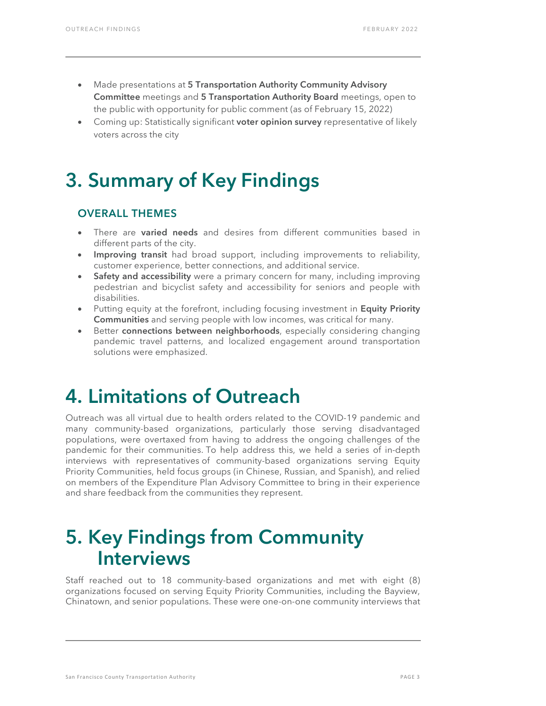- Made presentations at 5 Transportation Authority Community Advisory Committee meetings and 5 Transportation Authority Board meetings, open to the public with opportunity for public comment (as of February 15, 2022)
- <span id="page-3-0"></span>Coming up: Statistically significant **voter opinion survey** representative of likely voters across the city

# 3. Summary of Key Findings

## OVERALL THEMES

- There are **varied needs** and desires from different communities based in different parts of the city.
- Improving transit had broad support, including improvements to reliability, customer experience, better connections, and additional service.
- Safety and accessibility were a primary concern for many, including improving pedestrian and bicyclist safety and accessibility for seniors and people with disabilities.
- Putting equity at the forefront, including focusing investment in Equity Priority Communities and serving people with low incomes, was critical for many.
- Better connections between neighborhoods, especially considering changing pandemic travel patterns, and localized engagement around transportation solutions were emphasized.

# <span id="page-3-1"></span>4. Limitations of Outreach

Outreach was all virtual due to health orders related to the COVID-19 pandemic and many community-based organizations, particularly those serving disadvantaged populations, were overtaxed from having to address the ongoing challenges of the pandemic for their communities. To help address this, we held a series of in-depth interviews with representatives of community-based organizations serving Equity Priority Communities, held focus groups (in Chinese, Russian, and Spanish), and relied on members of the Expenditure Plan Advisory Committee to bring in their experience and share feedback from the communities they represent.

# <span id="page-3-2"></span>5. Key Findings from Community Interviews

Staff reached out to 18 community-based organizations and met with eight (8) organizations focused on serving Equity Priority Communities, including the Bayview, Chinatown, and senior populations. These were one-on-one community interviews that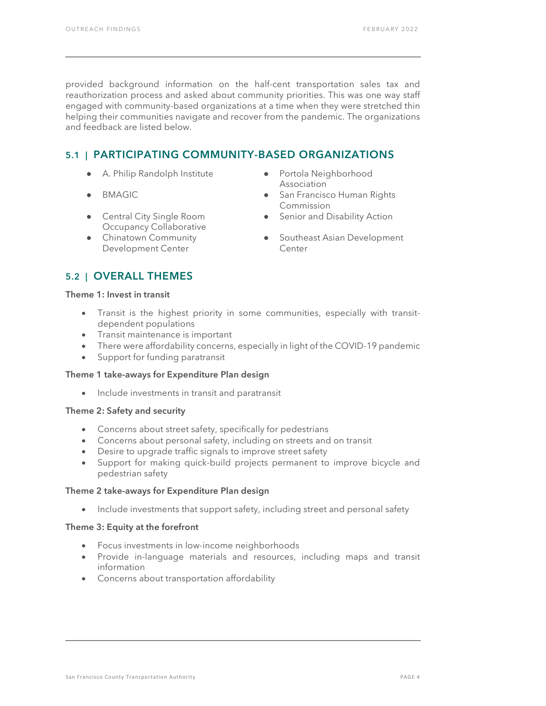provided background information on the half-cent transportation sales tax and reauthorization process and asked about community priorities. This was one way staff engaged with community-based organizations at a time when they were stretched thin helping their communities navigate and recover from the pandemic. The organizations and feedback are listed below.

# 5.1 | PARTICIPATING COMMUNITY-BASED ORGANIZATIONS

- A. Philip Randolph Institute Portola Neighborhood
- 
- Central City Single Room Occupancy Collaborative
- **Chinatown Community** Development Center
- Association
- BMAGIC San Francisco Human Rights Commission
	- Senior and Disability Action
	- Southeast Asian Development Center

## 5.2 | OVERALL THEMES

#### Theme 1: Invest in transit

- Transit is the highest priority in some communities, especially with transitdependent populations
- Transit maintenance is important
- There were affordability concerns, especially in light of the COVID-19 pandemic
- Support for funding paratransit

#### Theme 1 take-aways for Expenditure Plan design

• Include investments in transit and paratransit

#### Theme 2: Safety and security

- Concerns about street safety, specifically for pedestrians
- Concerns about personal safety, including on streets and on transit
- Desire to upgrade traffic signals to improve street safety
- Support for making quick-build projects permanent to improve bicycle and pedestrian safety

#### Theme 2 take-aways for Expenditure Plan design

• Include investments that support safety, including street and personal safety

#### Theme 3: Equity at the forefront

- Focus investments in low-income neighborhoods
- Provide in-language materials and resources, including maps and transit information
- Concerns about transportation affordability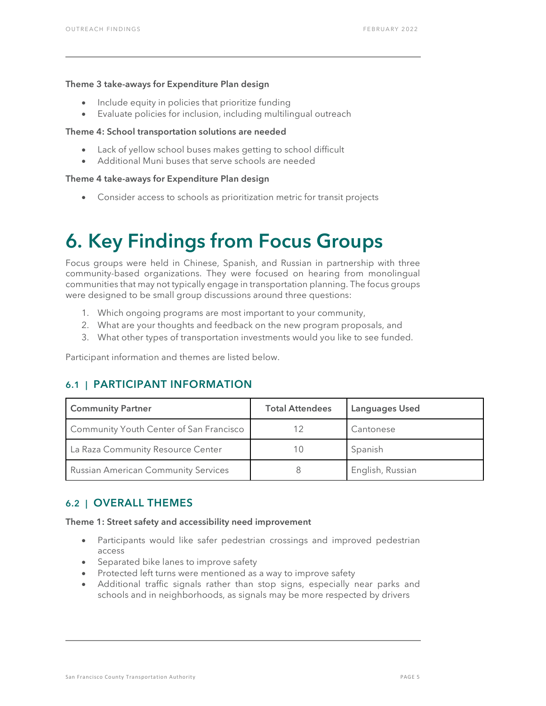#### Theme 3 take-aways for Expenditure Plan design

- Include equity in policies that prioritize funding
- Evaluate policies for inclusion, including multilingual outreach

#### Theme 4: School transportation solutions are needed

- Lack of yellow school buses makes getting to school difficult
- Additional Muni buses that serve schools are needed

#### Theme 4 take-aways for Expenditure Plan design

• Consider access to schools as prioritization metric for transit projects

# <span id="page-5-0"></span>6. Key Findings from Focus Groups

Focus groups were held in Chinese, Spanish, and Russian in partnership with three community-based organizations. They were focused on hearing from monolingual communities that may not typically engage in transportation planning. The focus groups were designed to be small group discussions around three questions:

- 1. Which ongoing programs are most important to your community,
- 2. What are your thoughts and feedback on the new program proposals, and
- 3. What other types of transportation investments would you like to see funded.

Participant information and themes are listed below.

## 6.1 | PARTICIPANT INFORMATION

| <b>Community Partner</b>                   | <b>Total Attendees</b> | Languages Used   |
|--------------------------------------------|------------------------|------------------|
| Community Youth Center of San Francisco    |                        | Cantonese        |
| La Raza Community Resource Center          |                        | Spanish          |
| <b>Russian American Community Services</b> |                        | English, Russian |

### 6.2 | OVERALL THEMES

Theme 1: Street safety and accessibility need improvement

- Participants would like safer pedestrian crossings and improved pedestrian access
- Separated bike lanes to improve safety
- Protected left turns were mentioned as a way to improve safety
- Additional traffic signals rather than stop signs, especially near parks and schools and in neighborhoods, as signals may be more respected by drivers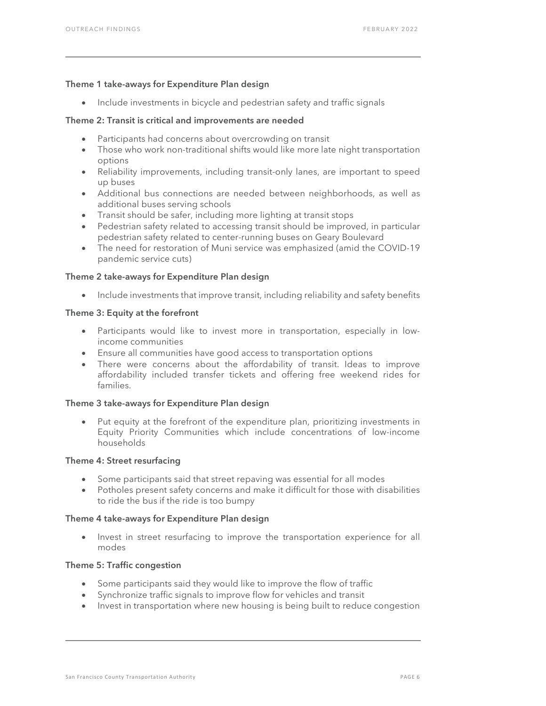#### Theme 1 take-aways for Expenditure Plan design

• Include investments in bicycle and pedestrian safety and traffic signals

#### Theme 2: Transit is critical and improvements are needed

- Participants had concerns about overcrowding on transit
- Those who work non-traditional shifts would like more late night transportation options
- Reliability improvements, including transit-only lanes, are important to speed up buses
- Additional bus connections are needed between neighborhoods, as well as additional buses serving schools
- Transit should be safer, including more lighting at transit stops
- Pedestrian safety related to accessing transit should be improved, in particular pedestrian safety related to center-running buses on Geary Boulevard
- The need for restoration of Muni service was emphasized (amid the COVID-19 pandemic service cuts)

#### Theme 2 take-aways for Expenditure Plan design

• Include investments that improve transit, including reliability and safety benefits

#### Theme 3: Equity at the forefront

- Participants would like to invest more in transportation, especially in lowincome communities
- Ensure all communities have good access to transportation options
- There were concerns about the affordability of transit. Ideas to improve affordability included transfer tickets and offering free weekend rides for families.

#### Theme 3 take-aways for Expenditure Plan design

• Put equity at the forefront of the expenditure plan, prioritizing investments in Equity Priority Communities which include concentrations of low-income households

#### Theme 4: Street resurfacing

- Some participants said that street repaving was essential for all modes
- Potholes present safety concerns and make it difficult for those with disabilities to ride the bus if the ride is too bumpy

#### Theme 4 take-aways for Expenditure Plan design

• Invest in street resurfacing to improve the transportation experience for all modes

#### Theme 5: Traffic congestion

- Some participants said they would like to improve the flow of traffic
- Synchronize traffic signals to improve flow for vehicles and transit
- Invest in transportation where new housing is being built to reduce congestion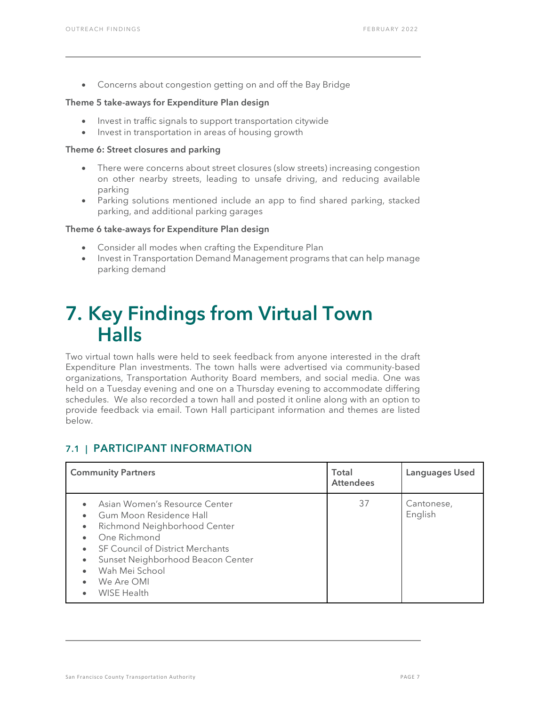• Concerns about congestion getting on and off the Bay Bridge

#### Theme 5 take-aways for Expenditure Plan design

- Invest in traffic signals to support transportation citywide
- Invest in transportation in areas of housing growth

#### Theme 6: Street closures and parking

- There were concerns about street closures (slow streets) increasing congestion on other nearby streets, leading to unsafe driving, and reducing available parking
- Parking solutions mentioned include an app to find shared parking, stacked parking, and additional parking garages

#### Theme 6 take-aways for Expenditure Plan design

- Consider all modes when crafting the Expenditure Plan
- Invest in Transportation Demand Management programs that can help manage parking demand

# <span id="page-7-0"></span>7. Key Findings from Virtual Town Halls

Two virtual town halls were held to seek feedback from anyone interested in the draft Expenditure Plan investments. The town halls were advertised via community-based organizations, Transportation Authority Board members, and social media. One was held on a Tuesday evening and one on a Thursday evening to accommodate differing schedules. We also recorded a town hall and posted it online along with an option to provide feedback via email. Town Hall participant information and themes are listed below.

### 7.1 | PARTICIPANT INFORMATION

| <b>Community Partners</b>                                                                                                                                                                                                                                                                                                         | Total<br><b>Attendees</b> | Languages Used        |
|-----------------------------------------------------------------------------------------------------------------------------------------------------------------------------------------------------------------------------------------------------------------------------------------------------------------------------------|---------------------------|-----------------------|
| Asian Women's Resource Center<br>Gum Moon Residence Hall<br>$\bullet$<br>Richmond Neighborhood Center<br>$\bullet$<br>One Richmond<br>$\bullet$<br><b>SF Council of District Merchants</b><br>$\bullet$<br>Sunset Neighborhood Beacon Center<br>٠<br>Wah Mei School<br>$\bullet$<br>We Are OMI<br>$\bullet$<br><b>WISE Health</b> | 37                        | Cantonese,<br>English |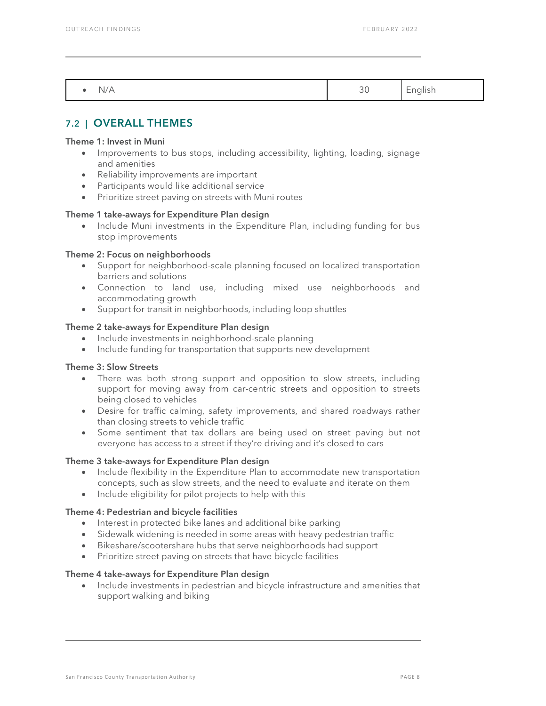| $\mathbf{u}$<br>. . | ີ | - |
|---------------------|---|---|

## 7.2 | OVERALL THEMES

#### Theme 1: Invest in Muni

- Improvements to bus stops, including accessibility, lighting, loading, signage and amenities
- Reliability improvements are important
- Participants would like additional service
- Prioritize street paving on streets with Muni routes

#### Theme 1 take-aways for Expenditure Plan design

• Include Muni investments in the Expenditure Plan, including funding for bus stop improvements

#### Theme 2: Focus on neighborhoods

- Support for neighborhood-scale planning focused on localized transportation barriers and solutions
- Connection to land use, including mixed use neighborhoods and accommodating growth
- Support for transit in neighborhoods, including loop shuttles

#### Theme 2 take-aways for Expenditure Plan design

- Include investments in neighborhood-scale planning
- Include funding for transportation that supports new development

#### Theme 3: Slow Streets

- There was both strong support and opposition to slow streets, including support for moving away from car-centric streets and opposition to streets being closed to vehicles
- Desire for traffic calming, safety improvements, and shared roadways rather than closing streets to vehicle traffic
- Some sentiment that tax dollars are being used on street paving but not everyone has access to a street if they're driving and it's closed to cars

#### Theme 3 take-aways for Expenditure Plan design

- Include flexibility in the Expenditure Plan to accommodate new transportation concepts, such as slow streets, and the need to evaluate and iterate on them
- Include eligibility for pilot projects to help with this

#### Theme 4: Pedestrian and bicycle facilities

- Interest in protected bike lanes and additional bike parking
- Sidewalk widening is needed in some areas with heavy pedestrian traffic
- Bikeshare/scootershare hubs that serve neighborhoods had support
- Prioritize street paving on streets that have bicycle facilities

#### Theme 4 take-aways for Expenditure Plan design

• Include investments in pedestrian and bicycle infrastructure and amenities that support walking and biking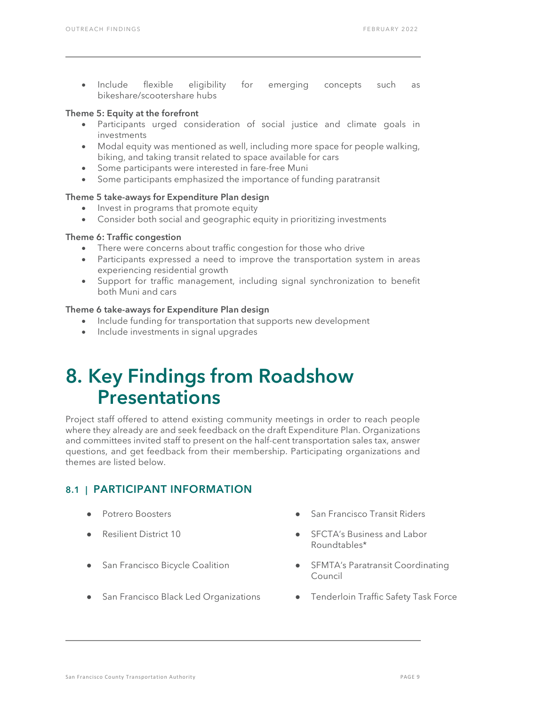• Include flexible eligibility for emerging concepts such as bikeshare/scootershare hubs

#### Theme 5: Equity at the forefront

- Participants urged consideration of social justice and climate goals in investments
- Modal equity was mentioned as well, including more space for people walking, biking, and taking transit related to space available for cars
- Some participants were interested in fare-free Muni
- Some participants emphasized the importance of funding paratransit

#### Theme 5 take-aways for Expenditure Plan design

- Invest in programs that promote equity
- Consider both social and geographic equity in prioritizing investments

#### Theme 6: Traffic congestion

- There were concerns about traffic congestion for those who drive
- Participants expressed a need to improve the transportation system in areas experiencing residential growth
- Support for traffic management, including signal synchronization to benefit both Muni and cars

#### Theme 6 take-aways for Expenditure Plan design

- Include funding for transportation that supports new development
- Include investments in signal upgrades

# <span id="page-9-0"></span>8. Key Findings from Roadshow Presentations

Project staff offered to attend existing community meetings in order to reach people where they already are and seek feedback on the draft Expenditure Plan. Organizations and committees invited staff to present on the half-cent transportation sales tax, answer questions, and get feedback from their membership. Participating organizations and themes are listed below.

### 8.1 | PARTICIPANT INFORMATION

- 
- 
- 
- San Francisco Black Led Organizations Tenderloin Traffic Safety Task Force
- Potrero Boosters San Francisco Transit Riders
- Resilient District 10 **8 COVID-MENT COVID-MENT COVID-MENT COVID-MENT COVID-MENT COVID-MENT COVID-MENT COVID-ME** Roundtables\*
- San Francisco Bicycle Coalition SFMTA's Paratransit Coordinating Council
	-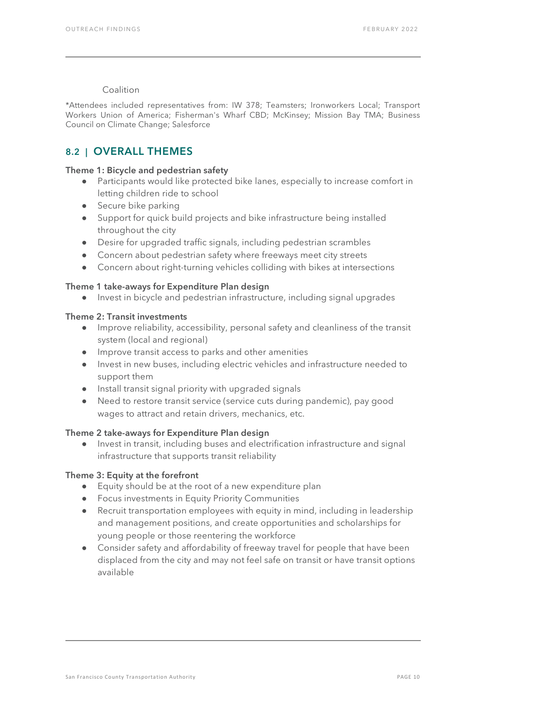#### Coalition

\*Attendees included representatives from: IW 378; Teamsters; Ironworkers Local; Transport Workers Union of America; Fisherman's Wharf CBD; McKinsey; Mission Bay TMA; Business Council on Climate Change; Salesforce

### 8.2 | OVERALL THEMES

#### Theme 1: Bicycle and pedestrian safety

- Participants would like protected bike lanes, especially to increase comfort in letting children ride to school
- Secure bike parking
- Support for quick build projects and bike infrastructure being installed throughout the city
- Desire for upgraded traffic signals, including pedestrian scrambles
- Concern about pedestrian safety where freeways meet city streets
- Concern about right-turning vehicles colliding with bikes at intersections

#### Theme 1 take-aways for Expenditure Plan design

● Invest in bicycle and pedestrian infrastructure, including signal upgrades

#### Theme 2: Transit investments

- Improve reliability, accessibility, personal safety and cleanliness of the transit system (local and regional)
- Improve transit access to parks and other amenities
- Invest in new buses, including electric vehicles and infrastructure needed to support them
- Install transit signal priority with upgraded signals
- Need to restore transit service (service cuts during pandemic), pay good wages to attract and retain drivers, mechanics, etc.

#### Theme 2 take-aways for Expenditure Plan design

● Invest in transit, including buses and electrification infrastructure and signal infrastructure that supports transit reliability

#### Theme 3: Equity at the forefront

- Equity should be at the root of a new expenditure plan
- Focus investments in Equity Priority Communities
- Recruit transportation employees with equity in mind, including in leadership and management positions, and create opportunities and scholarships for young people or those reentering the workforce
- Consider safety and affordability of freeway travel for people that have been displaced from the city and may not feel safe on transit or have transit options available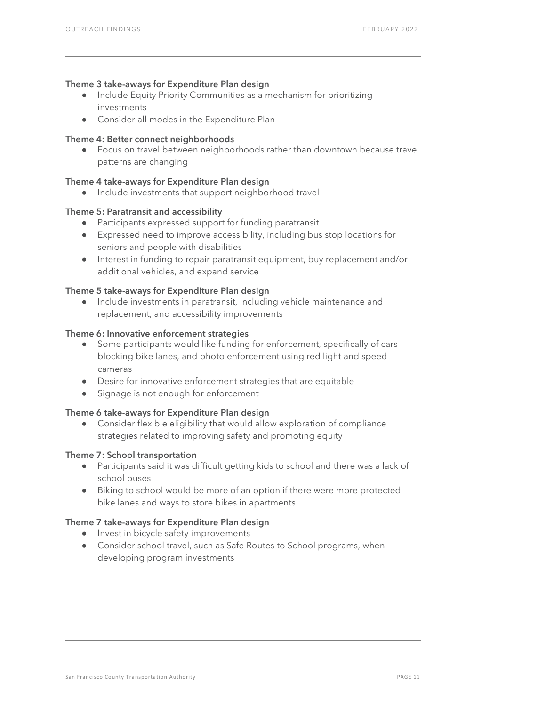#### Theme 3 take-aways for Expenditure Plan design

- Include Equity Priority Communities as a mechanism for prioritizing investments
- Consider all modes in the Expenditure Plan

#### Theme 4: Better connect neighborhoods

● Focus on travel between neighborhoods rather than downtown because travel patterns are changing

#### Theme 4 take-aways for Expenditure Plan design

● Include investments that support neighborhood travel

#### Theme 5: Paratransit and accessibility

- Participants expressed support for funding paratransit
- Expressed need to improve accessibility, including bus stop locations for seniors and people with disabilities
- Interest in funding to repair paratransit equipment, buy replacement and/or additional vehicles, and expand service

#### Theme 5 take-aways for Expenditure Plan design

● Include investments in paratransit, including vehicle maintenance and replacement, and accessibility improvements

#### Theme 6: Innovative enforcement strategies

- Some participants would like funding for enforcement, specifically of cars blocking bike lanes, and photo enforcement using red light and speed cameras
- Desire for innovative enforcement strategies that are equitable
- Signage is not enough for enforcement

#### Theme 6 take-aways for Expenditure Plan design

● Consider flexible eligibility that would allow exploration of compliance strategies related to improving safety and promoting equity

#### Theme 7: School transportation

- Participants said it was difficult getting kids to school and there was a lack of school buses
- Biking to school would be more of an option if there were more protected bike lanes and ways to store bikes in apartments

#### Theme 7 take-aways for Expenditure Plan design

- Invest in bicycle safety improvements
- Consider school travel, such as Safe Routes to School programs, when developing program investments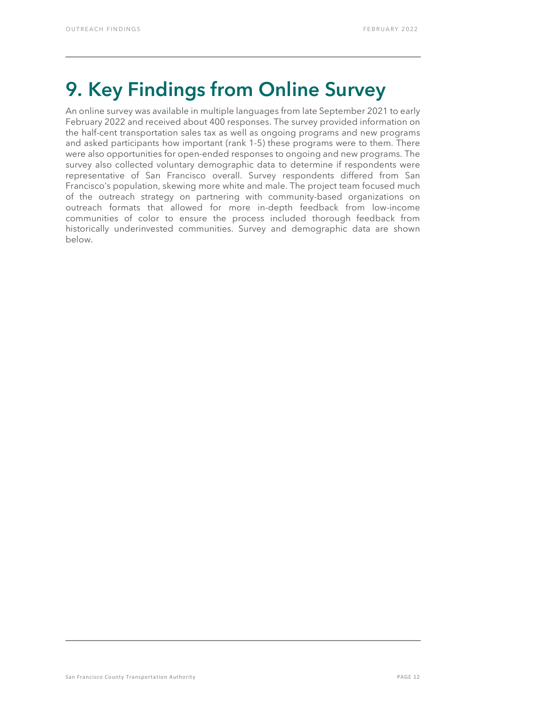# <span id="page-12-0"></span>9. Key Findings from Online Survey

An online survey was available in multiple languages from late September 2021 to early February 2022 and received about 400 responses. The survey provided information on the half-cent transportation sales tax as well as ongoing programs and new programs and asked participants how important (rank 1-5) these programs were to them. There were also opportunities for open-ended responses to ongoing and new programs. The survey also collected voluntary demographic data to determine if respondents were representative of San Francisco overall. Survey respondents differed from San Francisco's population, skewing more white and male. The project team focused much of the outreach strategy on partnering with community-based organizations on outreach formats that allowed for more in-depth feedback from low-income communities of color to ensure the process included thorough feedback from historically underinvested communities. Survey and demographic data are shown below.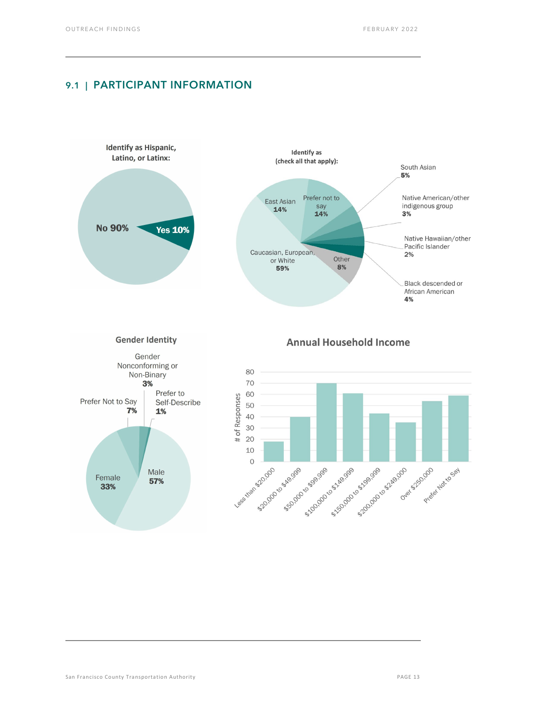### 9.1 | PARTICIPANT INFORMATION

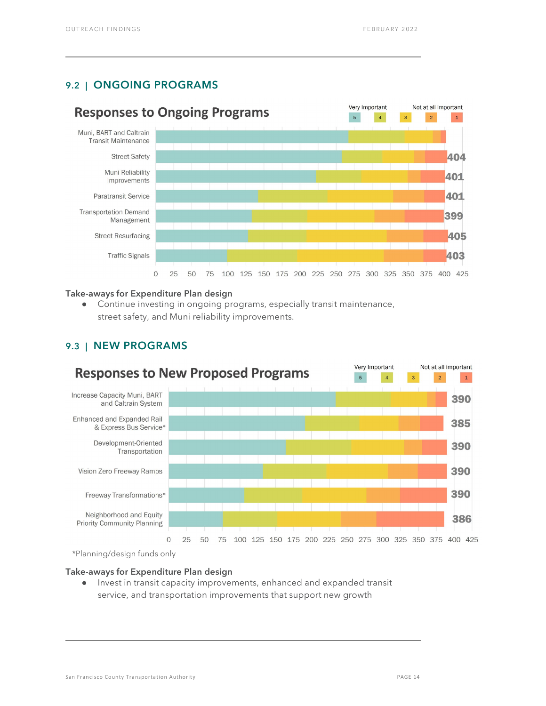### 9.2 | ONGOING PROGRAMS



#### Take-aways for Expenditure Plan design

● Continue investing in ongoing programs, especially transit maintenance, street safety, and Muni reliability improvements.



### 9.3 | NEW PROGRAMS

\*Planning/design funds only

#### Take-aways for Expenditure Plan design

Invest in transit capacity improvements, enhanced and expanded transit service, and transportation improvements that support new growth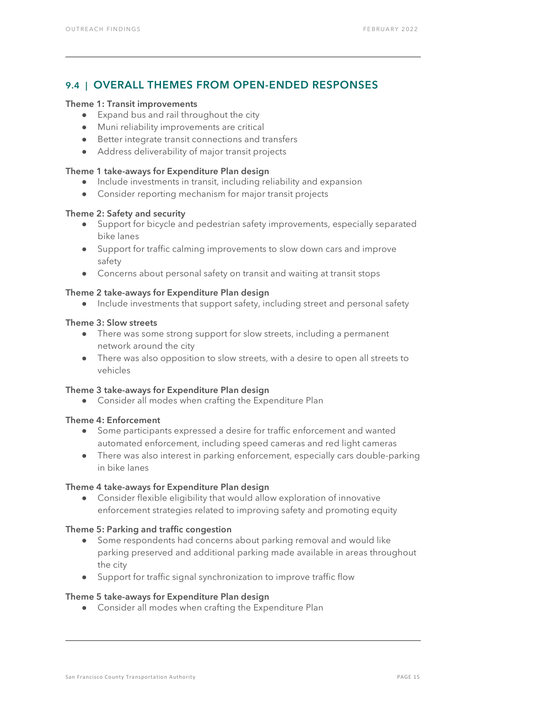## 9.4 | OVERALL THEMES FROM OPEN-ENDED RESPONSES

#### Theme 1: Transit improvements

- Expand bus and rail throughout the city
- Muni reliability improvements are critical
- Better integrate transit connections and transfers
- Address deliverability of major transit projects

#### Theme 1 take-aways for Expenditure Plan design

- Include investments in transit, including reliability and expansion
- Consider reporting mechanism for major transit projects

#### Theme 2: Safety and security

- Support for bicycle and pedestrian safety improvements, especially separated bike lanes
- Support for traffic calming improvements to slow down cars and improve safety
- Concerns about personal safety on transit and waiting at transit stops

#### Theme 2 take-aways for Expenditure Plan design

● Include investments that support safety, including street and personal safety

#### Theme 3: Slow streets

- There was some strong support for slow streets, including a permanent network around the city
- There was also opposition to slow streets, with a desire to open all streets to vehicles

#### Theme 3 take-aways for Expenditure Plan design

● Consider all modes when crafting the Expenditure Plan

#### Theme 4: Enforcement

- Some participants expressed a desire for traffic enforcement and wanted automated enforcement, including speed cameras and red light cameras
- There was also interest in parking enforcement, especially cars double-parking in bike lanes

#### Theme 4 take-aways for Expenditure Plan design

● Consider flexible eligibility that would allow exploration of innovative enforcement strategies related to improving safety and promoting equity

#### Theme 5: Parking and traffic congestion

- Some respondents had concerns about parking removal and would like parking preserved and additional parking made available in areas throughout the city
- Support for traffic signal synchronization to improve traffic flow

#### Theme 5 take-aways for Expenditure Plan design

● Consider all modes when crafting the Expenditure Plan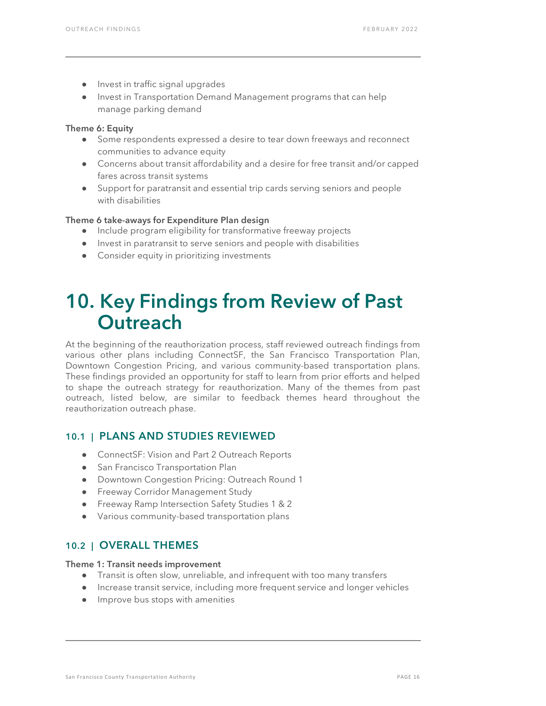- Invest in traffic signal upgrades
- Invest in Transportation Demand Management programs that can help manage parking demand

#### Theme 6: Equity

- Some respondents expressed a desire to tear down freeways and reconnect communities to advance equity
- Concerns about transit affordability and a desire for free transit and/or capped fares across transit systems
- Support for paratransit and essential trip cards serving seniors and people with disabilities

#### Theme 6 take-aways for Expenditure Plan design

- Include program eligibility for transformative freeway projects
- Invest in paratransit to serve seniors and people with disabilities
- Consider equity in prioritizing investments

# <span id="page-16-0"></span>10. Key Findings from Review of Past **Outreach**

At the beginning of the reauthorization process, staff reviewed outreach findings from various other plans including ConnectSF, the San Francisco Transportation Plan, Downtown Congestion Pricing, and various community-based transportation plans. These findings provided an opportunity for staff to learn from prior efforts and helped to shape the outreach strategy for reauthorization. Many of the themes from past outreach, listed below, are similar to feedback themes heard throughout the reauthorization outreach phase.

### 10.1 | PLANS AND STUDIES REVIEWED

- ConnectSF: Vision and Part 2 Outreach Reports
- San Francisco Transportation Plan
- Downtown Congestion Pricing: Outreach Round 1
- **•** Freeway Corridor Management Study
- Freeway Ramp Intersection Safety Studies 1 & 2
- Various community-based transportation plans

### 10.2 | OVERALL THEMES

#### Theme 1: Transit needs improvement

- Transit is often slow, unreliable, and infrequent with too many transfers
- Increase transit service, including more frequent service and longer vehicles
- Improve bus stops with amenities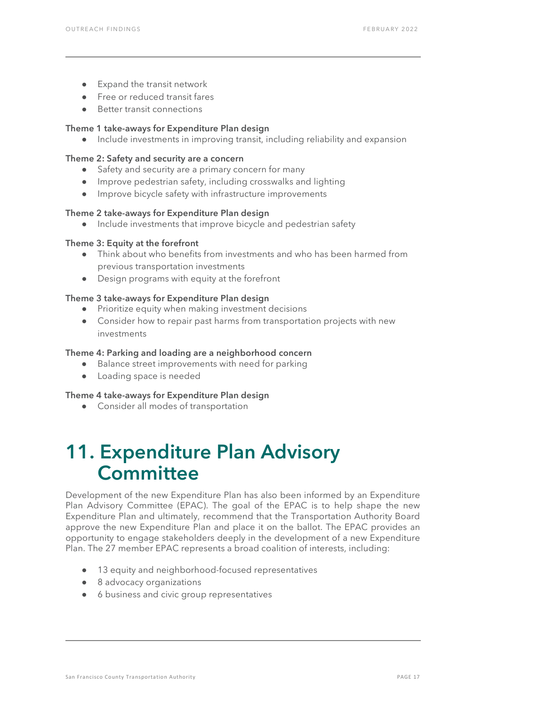- Expand the transit network
- Free or reduced transit fares
- Better transit connections

#### Theme 1 take-aways for Expenditure Plan design

● Include investments in improving transit, including reliability and expansion

#### Theme 2: Safety and security are a concern

- Safety and security are a primary concern for many
- Improve pedestrian safety, including crosswalks and lighting
- Improve bicycle safety with infrastructure improvements

#### Theme 2 take-aways for Expenditure Plan design

Include investments that improve bicycle and pedestrian safety

#### Theme 3: Equity at the forefront

- Think about who benefits from investments and who has been harmed from previous transportation investments
- Design programs with equity at the forefront

#### Theme 3 take-aways for Expenditure Plan design

- Prioritize equity when making investment decisions
- Consider how to repair past harms from transportation projects with new investments

#### Theme 4: Parking and loading are a neighborhood concern

- Balance street improvements with need for parking
- Loading space is needed

#### Theme 4 take-aways for Expenditure Plan design

● Consider all modes of transportation

# <span id="page-17-0"></span>11. Expenditure Plan Advisory **Committee**

Development of the new Expenditure Plan has also been informed by an Expenditure Plan Advisory Committee (EPAC). The goal of the EPAC is to help shape the new Expenditure Plan and ultimately, recommend that the Transportation Authority Board approve the new Expenditure Plan and place it on the ballot. The EPAC provides an opportunity to engage stakeholders deeply in the development of a new Expenditure Plan. The 27 member EPAC represents a broad coalition of interests, including:

- 13 equity and neighborhood-focused representatives
- 8 advocacy organizations
- 6 business and civic group representatives